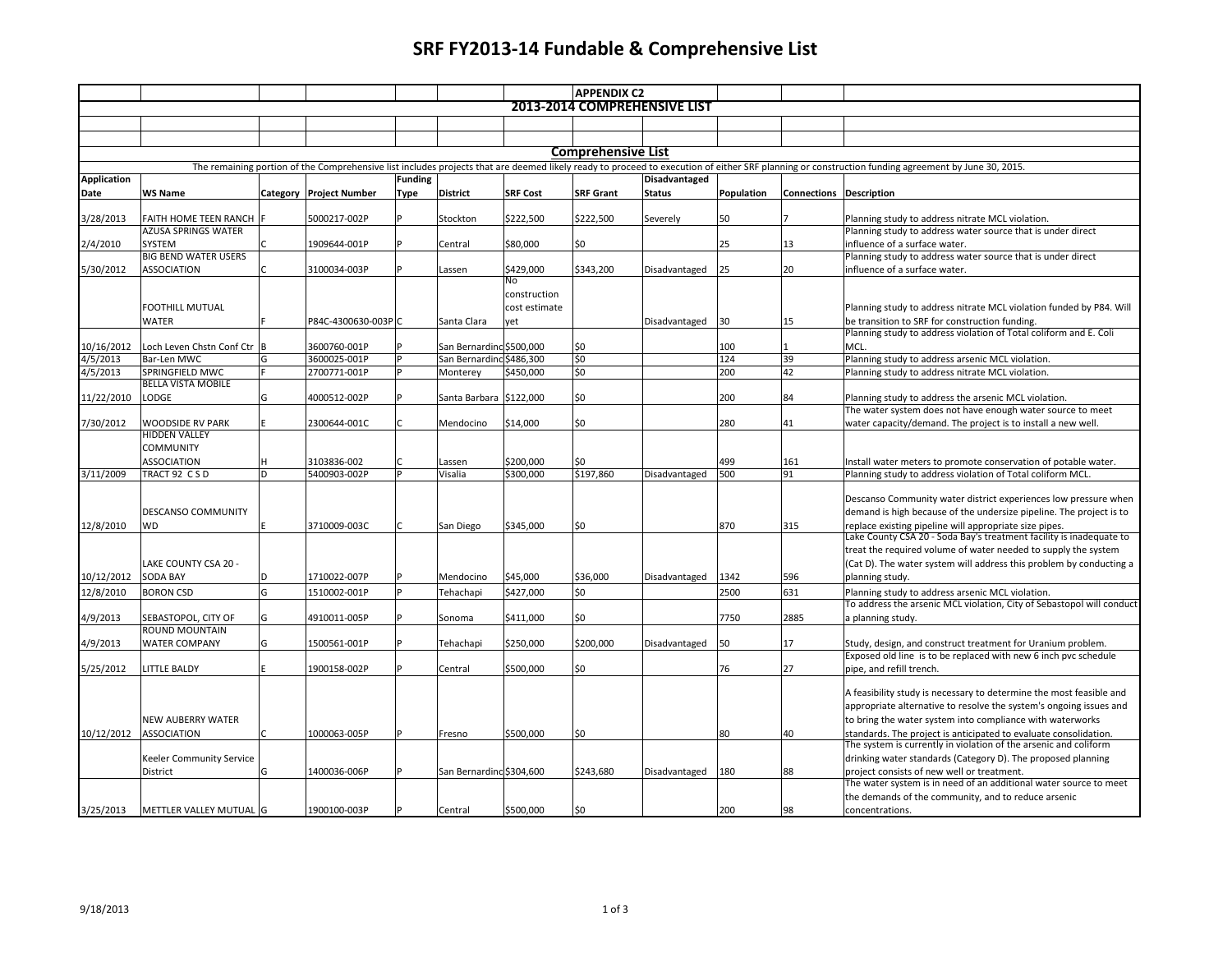## **SRF FY2013-14 Fundable & Comprehensive List**

|                    |                                                 |          |                       |                |                          |                 | <b>APPENDIX C2</b>        |                              |            |                         |                                                                                                                                                                                                   |
|--------------------|-------------------------------------------------|----------|-----------------------|----------------|--------------------------|-----------------|---------------------------|------------------------------|------------|-------------------------|---------------------------------------------------------------------------------------------------------------------------------------------------------------------------------------------------|
|                    |                                                 |          |                       |                |                          |                 |                           | 2013-2014 COMPREHENSIVE LIST |            |                         |                                                                                                                                                                                                   |
|                    |                                                 |          |                       |                |                          |                 |                           |                              |            |                         |                                                                                                                                                                                                   |
|                    |                                                 |          |                       |                |                          |                 |                           |                              |            |                         |                                                                                                                                                                                                   |
|                    |                                                 |          |                       |                |                          |                 | <b>Comprehensive List</b> |                              |            |                         |                                                                                                                                                                                                   |
|                    |                                                 |          |                       |                |                          |                 |                           |                              |            |                         | The remaining portion of the Comprehensive list includes projects that are deemed likely ready to proceed to execution of either SRF planning or construction funding agreement by June 30, 2015. |
| <b>Application</b> |                                                 |          |                       | <b>Funding</b> |                          |                 |                           | Disadvantaged                |            |                         |                                                                                                                                                                                                   |
| Date               | <b>WS Name</b>                                  | Category | <b>Project Number</b> | Type           | <b>District</b>          | <b>SRF Cost</b> | <b>SRF Grant</b>          | <b>Status</b>                | Population | Connections Description |                                                                                                                                                                                                   |
|                    |                                                 |          |                       |                |                          |                 |                           |                              |            |                         |                                                                                                                                                                                                   |
| 3/28/2013          | FAITH HOME TEEN RANCH   F                       |          | 5000217-002P          |                | Stockton                 | \$222,500       | \$222,500                 | Severely                     | 50         |                         | Planning study to address nitrate MCL violation.                                                                                                                                                  |
|                    | <b>AZUSA SPRINGS WATER</b>                      |          |                       |                |                          |                 |                           |                              |            |                         | Planning study to address water source that is under direct                                                                                                                                       |
| 2/4/2010           | <b>SYSTEM</b><br><b>BIG BEND WATER USERS</b>    |          | 1909644-001P          |                | Central                  | \$80,000        | \$0                       |                              | 25         | 13                      | influence of a surface water.                                                                                                                                                                     |
|                    |                                                 |          |                       |                |                          |                 |                           |                              |            |                         | Planning study to address water source that is under direct                                                                                                                                       |
| 5/30/2012          | <b>ASSOCIATION</b>                              | l C      | 3100034-003P          |                | Lassen                   | \$429,000<br>No | \$343,200                 | Disadvantaged                | 25         | 20                      | influence of a surface water.                                                                                                                                                                     |
|                    |                                                 |          |                       |                |                          | construction    |                           |                              |            |                         |                                                                                                                                                                                                   |
|                    | <b>FOOTHILL MUTUAL</b>                          |          |                       |                |                          | cost estimate   |                           |                              |            |                         | Planning study to address nitrate MCL violation funded by P84. Will                                                                                                                               |
|                    | <b>WATER</b>                                    |          | P84C-4300630-003PlC   |                | Santa Clara              | vet             |                           | Disadvantaged                | 30         | 15                      | be transition to SRF for construction funding.                                                                                                                                                    |
|                    |                                                 |          |                       |                |                          |                 |                           |                              |            |                         | Planning study to address violation of Total coliform and E. Coli                                                                                                                                 |
| 10/16/2012         | Loch Leven Chstn Conf Ctr B                     |          | 3600760-001P          |                | San Bernarding \$500,000 |                 | l\$0                      |                              | 100        |                         | MCL.                                                                                                                                                                                              |
| 4/5/2013           | Bar-Len MWC                                     | G        | 3600025-001P          |                | San Bernardind \$486,300 |                 | \$0                       |                              | 124        | 39                      | Planning study to address arsenic MCL violation.                                                                                                                                                  |
| 4/5/2013           | SPRINGFIELD MWC                                 | ١F       | 2700771-001P          |                | Monterey                 | \$450,000       | \$0                       |                              | 200        | 42                      | Planning study to address nitrate MCL violation.                                                                                                                                                  |
|                    | <b>BELLA VISTA MOBILE</b>                       |          |                       |                |                          |                 |                           |                              |            |                         |                                                                                                                                                                                                   |
| 11/22/2010         | LODGE                                           | G        | 4000512-002P          |                | Santa Barbara 5122,000   |                 | \$0                       |                              | 200        | 84                      | Planning study to address the arsenic MCL violation.                                                                                                                                              |
|                    |                                                 |          |                       |                |                          |                 |                           |                              |            |                         | The water system does not have enough water source to meet                                                                                                                                        |
| 7/30/2012          | <b>WOODSIDE RV PARK</b><br><b>HIDDEN VALLEY</b> | lE.      | 2300644-001C          |                | Mendocino                | \$14.000        | \$0                       |                              | 280        | 41                      | water capacity/demand. The project is to install a new well.                                                                                                                                      |
|                    | <b>COMMUNITY</b>                                |          |                       |                |                          |                 |                           |                              |            |                         |                                                                                                                                                                                                   |
|                    | <b>ASSOCIATION</b>                              | H        | 3103836-002           |                | Lassen                   | \$200,000       | \$0                       |                              | 499        | 161                     | Install water meters to promote conservation of potable water.                                                                                                                                    |
| 3/11/2009          | TRACT 92 CSD                                    | D        | 5400903-002P          |                | Visalia                  | \$300,000       | \$197,860                 | Disadvantaged                | 500        | 91                      | Planning study to address violation of Total coliform MCL.                                                                                                                                        |
|                    |                                                 |          |                       |                |                          |                 |                           |                              |            |                         |                                                                                                                                                                                                   |
|                    |                                                 |          |                       |                |                          |                 |                           |                              |            |                         | Descanso Community water district experiences low pressure when                                                                                                                                   |
|                    | <b>DESCANSO COMMUNITY</b>                       |          |                       |                |                          |                 |                           |                              |            |                         | demand is high because of the undersize pipeline. The project is to                                                                                                                               |
| 12/8/2010          | <b>WD</b>                                       |          | 3710009-003C          |                | San Diego                | \$345,000       | \$0                       |                              | 870        | 315                     | replace existing pipeline will appropriate size pipes.<br>Lake County CSA 20 - Soda Bay's treatment facility is inadequate to                                                                     |
|                    |                                                 |          |                       |                |                          |                 |                           |                              |            |                         |                                                                                                                                                                                                   |
|                    |                                                 |          |                       |                |                          |                 |                           |                              |            |                         | treat the required volume of water needed to supply the system                                                                                                                                    |
|                    | LAKE COUNTY CSA 20 -                            |          |                       |                |                          |                 |                           |                              |            |                         | (Cat D). The water system will address this problem by conducting a                                                                                                                               |
| 10/12/2012         | <b>SODA BAY</b>                                 | l D      | 1710022-007P          |                | Mendocino                | \$45,000        | \$36,000                  | Disadvantaged                | 1342       | 596                     | planning study.                                                                                                                                                                                   |
| 12/8/2010          | <b>BORON CSD</b>                                | G        | 1510002-001P          |                | Tehachapi                | \$427,000       | \$0                       |                              | 2500       | 631                     | Planning study to address arsenic MCL violation.                                                                                                                                                  |
|                    |                                                 |          |                       |                |                          |                 |                           |                              |            |                         | To address the arsenic MCL violation, City of Sebastopol will conduct                                                                                                                             |
| 4/9/2013           | SEBASTOPOL, CITY OF<br>ROUND MOUNTAIN           | G        | 4910011-005P          |                | Sonoma                   | \$411,000       | \$0                       |                              | 7750       | 2885                    | a planning study.                                                                                                                                                                                 |
| 4/9/2013           | <b>WATER COMPANY</b>                            | G        | 1500561-001P          |                | Tehachapi                | \$250,000       | \$200,000                 | Disadvantaged                | 50         | 17                      | Study, design, and construct treatment for Uranium problem.                                                                                                                                       |
|                    |                                                 |          |                       |                |                          |                 |                           |                              |            |                         | Exposed old line is to be replaced with new 6 inch pvc schedule                                                                                                                                   |
| 5/25/2012          | LITTLE BALDY                                    |          | 1900158-002P          |                | Central                  | \$500,000       | \$0                       |                              | 76         | 27                      | pipe, and refill trench.                                                                                                                                                                          |
|                    |                                                 |          |                       |                |                          |                 |                           |                              |            |                         |                                                                                                                                                                                                   |
|                    |                                                 |          |                       |                |                          |                 |                           |                              |            |                         | A feasibility study is necessary to determine the most feasible and                                                                                                                               |
|                    |                                                 |          |                       |                |                          |                 |                           |                              |            |                         | appropriate alternative to resolve the system's ongoing issues and                                                                                                                                |
|                    | <b>NEW AUBERRY WATER</b>                        |          |                       |                |                          |                 |                           |                              |            |                         | to bring the water system into compliance with waterworks                                                                                                                                         |
| 10/12/2012         | <b>ASSOCIATION</b>                              | lC       | 1000063-005P          |                | Fresno                   | \$500,000       | \$0                       |                              | 80         | 40                      | standards. The project is anticipated to evaluate consolidation.                                                                                                                                  |
|                    |                                                 |          |                       |                |                          |                 |                           |                              |            |                         | The system is currently in violation of the arsenic and coliform                                                                                                                                  |
|                    | <b>Keeler Community Service</b>                 |          |                       |                |                          |                 |                           |                              |            |                         | drinking water standards (Category D). The proposed planning                                                                                                                                      |
|                    | District                                        | G        | 1400036-006P          |                | San Bernardind \$304,600 |                 | \$243,680                 | Disadvantaged                | 180        | 88                      | project consists of new well or treatment.<br>The water system is in need of an additional water source to meet                                                                                   |
|                    |                                                 |          |                       |                |                          |                 |                           |                              |            |                         | the demands of the community, and to reduce arsenic                                                                                                                                               |
| 3/25/2013          | METTLER VALLEY MUTUAL G                         |          | 1900100-003P          |                | Central                  | \$500,000       | lso                       |                              | 200        | 98                      | concentrations.                                                                                                                                                                                   |
|                    |                                                 |          |                       |                |                          |                 |                           |                              |            |                         |                                                                                                                                                                                                   |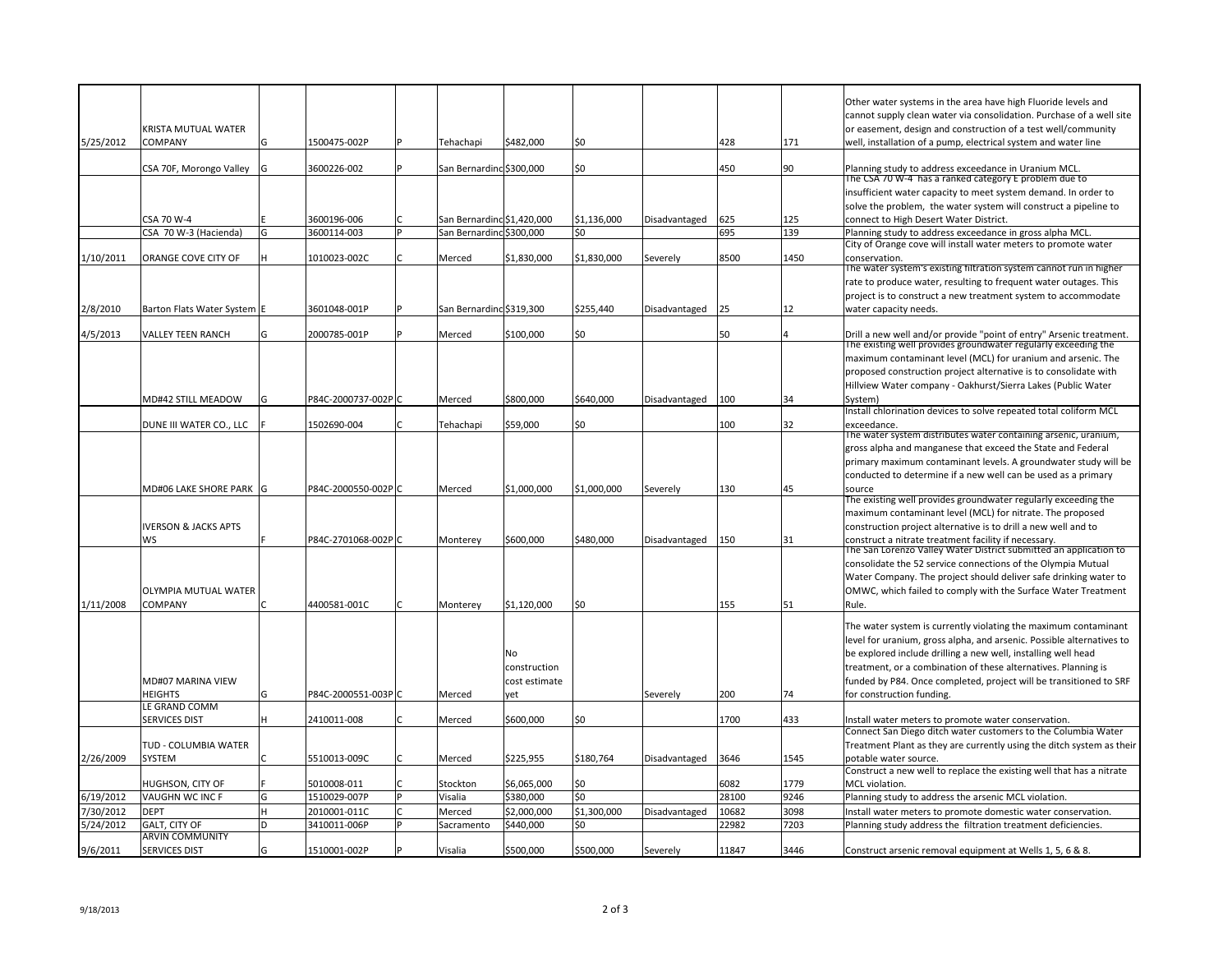|           |                                     |    |                            |                            |               |                    |               |            |      | Other water systems in the area have high Fluoride levels and                                                                         |
|-----------|-------------------------------------|----|----------------------------|----------------------------|---------------|--------------------|---------------|------------|------|---------------------------------------------------------------------------------------------------------------------------------------|
|           |                                     |    |                            |                            |               |                    |               |            |      | cannot supply clean water via consolidation. Purchase of a well site                                                                  |
|           | KRISTA MUTUAL WATER                 |    |                            |                            |               |                    |               |            |      | or easement, design and construction of a test well/community                                                                         |
| 5/25/2012 | <b>COMPANY</b>                      | G  | 1500475-002P               | Tehachapi                  | \$482,000     | \$0                |               | 428        | 171  | well, installation of a pump, electrical system and water line                                                                        |
|           | CSA 70F, Morongo Valley             | ۱G | 3600226-002                | San Bernarding \$300,000   |               | \$0                |               | 450        | 90   | Planning study to address exceedance in Uranium MCL.                                                                                  |
|           |                                     |    |                            |                            |               |                    |               |            |      | The CSA 70 W-4 has a ranked category E problem due to                                                                                 |
|           |                                     |    |                            |                            |               |                    |               |            |      | insufficient water capacity to meet system demand. In order to                                                                        |
|           |                                     |    |                            | San Bernarding \$1,420,000 |               |                    |               |            | 125  | solve the problem, the water system will construct a pipeline to<br>connect to High Desert Water District.                            |
|           | CSA 70 W-4<br>CSA 70 W-3 (Hacienda) | G  | 3600196-006<br>3600114-003 | San Bernardind \$300,000   |               | \$1,136,000<br>\$0 | Disadvantaged | 625<br>695 | 139  | Planning study to address exceedance in gross alpha MCL.                                                                              |
|           |                                     |    |                            |                            |               |                    |               |            |      | City of Orange cove will install water meters to promote water                                                                        |
| 1/10/2011 | ORANGE COVE CITY OF                 |    | 1010023-002C               | Merced                     | \$1,830,000   | \$1,830,000        | Severely      | 8500       | 1450 | conservation.                                                                                                                         |
|           |                                     |    |                            |                            |               |                    |               |            |      | The water system's existing filtration system cannot run in higher                                                                    |
|           |                                     |    |                            |                            |               |                    |               |            |      | rate to produce water, resulting to frequent water outages. This                                                                      |
|           |                                     |    |                            |                            |               |                    |               |            |      | project is to construct a new treatment system to accommodate                                                                         |
| 2/8/2010  | Barton Flats Water System E         |    | 3601048-001P               | San Bernarding \$319,300   |               | \$255,440          | Disadvantaged | 25         | 12   | water capacity needs.                                                                                                                 |
| 4/5/2013  | <b>VALLEY TEEN RANCH</b>            | G  | 2000785-001P               | Merced                     | \$100,000     | \$0                |               | 50         | Δ    |                                                                                                                                       |
|           |                                     |    |                            |                            |               |                    |               |            |      | Drill a new well and/or provide "point of entry" Arsenic treatment.<br>The existing well provides groundwater regularly exceeding the |
|           |                                     |    |                            |                            |               |                    |               |            |      | maximum contaminant level (MCL) for uranium and arsenic. The                                                                          |
|           |                                     |    |                            |                            |               |                    |               |            |      | proposed construction project alternative is to consolidate with                                                                      |
|           |                                     |    |                            |                            |               |                    |               |            |      | Hillview Water company - Oakhurst/Sierra Lakes (Public Water                                                                          |
|           | MD#42 STILL MEADOW                  | G  | P84C-2000737-002PC         | Merced                     | \$800,000     | \$640,000          | Disadvantaged | 100        | 34   | System)                                                                                                                               |
|           |                                     |    |                            |                            |               |                    |               |            |      | Install chlorination devices to solve repeated total coliform MCL                                                                     |
|           | DUNE III WATER CO., LLC             |    | 1502690-004                | Tehachapi                  | \$59,000      | \$0                |               | 100        | 32   | exceedance.<br>The water system distributes water containing arsenic, uranium,                                                        |
|           |                                     |    |                            |                            |               |                    |               |            |      | gross alpha and manganese that exceed the State and Federal                                                                           |
|           |                                     |    |                            |                            |               |                    |               |            |      | primary maximum contaminant levels. A groundwater study will be                                                                       |
|           |                                     |    |                            |                            |               |                    |               |            |      | conducted to determine if a new well can be used as a primary                                                                         |
|           | MD#06 LAKE SHORE PARK  G            |    | P84C-2000550-002PC         | Merced                     | \$1,000,000   | \$1,000,000        | Severely      | 130        | 45   | SOUTCA                                                                                                                                |
|           |                                     |    |                            |                            |               |                    |               |            |      | The existing well provides groundwater regularly exceeding the                                                                        |
|           |                                     |    |                            |                            |               |                    |               |            |      | maximum contaminant level (MCL) for nitrate. The proposed                                                                             |
|           | <b>IVERSON &amp; JACKS APTS</b>     |    |                            |                            |               |                    |               |            |      | construction project alternative is to drill a new well and to                                                                        |
|           | WS                                  |    | P84C-2701068-002PC         | Monterey                   | \$600,000     | \$480,000          | Disadvantaged | 150        | 31   | construct a nitrate treatment facility if necessary.<br>The San Lorenzo Valley Water District submitted an application to             |
|           |                                     |    |                            |                            |               |                    |               |            |      | consolidate the 52 service connections of the Olympia Mutual                                                                          |
|           |                                     |    |                            |                            |               |                    |               |            |      | Water Company. The project should deliver safe drinking water to                                                                      |
|           | <b>OLYMPIA MUTUAL WATER</b>         |    |                            |                            |               |                    |               |            |      | OMWC, which failed to comply with the Surface Water Treatment                                                                         |
| 1/11/2008 | <b>COMPANY</b>                      |    | 4400581-001C               | Monterey                   | \$1,120,000   | \$0                |               | 155        | 51   | Rule.                                                                                                                                 |
|           |                                     |    |                            |                            |               |                    |               |            |      | The water system is currently violating the maximum contaminant                                                                       |
|           |                                     |    |                            |                            |               |                    |               |            |      | level for uranium, gross alpha, and arsenic. Possible alternatives to                                                                 |
|           |                                     |    |                            |                            | No            |                    |               |            |      | be explored include drilling a new well, installing well head                                                                         |
|           |                                     |    |                            |                            | construction  |                    |               |            |      | treatment, or a combination of these alternatives. Planning is                                                                        |
|           | MD#07 MARINA VIEW                   |    |                            |                            | cost estimate |                    |               |            |      | funded by P84. Once completed, project will be transitioned to SRF                                                                    |
|           | <b>HEIGHTS</b>                      | G  | P84C-2000551-003PC         | Merced                     | yet           |                    | Severely      | 200        | 74   | for construction funding.                                                                                                             |
|           | LE GRAND COMM                       |    |                            |                            |               |                    |               |            |      |                                                                                                                                       |
|           | <b>SERVICES DIST</b>                | н  | 2410011-008                | Merced                     | \$600,000     | \$0                |               | 1700       | 433  | Install water meters to promote water conservation.                                                                                   |
|           |                                     |    |                            |                            |               |                    |               |            |      | Connect San Diego ditch water customers to the Columbia Water                                                                         |
|           | TUD - COLUMBIA WATER                |    |                            |                            |               |                    |               |            |      | Treatment Plant as they are currently using the ditch system as their                                                                 |
| 2/26/2009 | <b>SYSTEM</b>                       |    | 5510013-009C               | Merced                     | \$225,955     | \$180,764          | Disadvantaged | 3646       | 1545 | potable water source.<br>Construct a new well to replace the existing well that has a nitrate                                         |
|           | HUGHSON, CITY OF                    |    | 5010008-011                | Stockton                   | \$6,065,000   | \$0                |               | 6082       | 1779 | MCL violation.                                                                                                                        |
| 6/19/2012 | <b>VAUGHN WC INC F</b>              | G  | 1510029-007P               | Visalia                    | \$380,000     | \$0                |               | 28100      | 9246 | Planning study to address the arsenic MCL violation.                                                                                  |
| 7/30/2012 | <b>DEPT</b>                         |    | 2010001-011C               | Merced                     | \$2.000.000   | \$1,300,000        | Disadvantaged | 10682      | 3098 | Install water meters to promote domestic water conservation.                                                                          |
| 5/24/2012 | <b>GALT, CITY OF</b>                | D  | 3410011-006P               | Sacramento                 | \$440,000     | \$0                |               | 22982      | 7203 | Planning study address the filtration treatment deficiencies.                                                                         |
|           | <b>ARVIN COMMUNITY</b>              |    |                            |                            |               |                    |               |            |      |                                                                                                                                       |
| 9/6/2011  | <b>SERVICES DIST</b>                |    | 1510001-002P               | Visalia                    | \$500,000     | \$500,000          | Severely      | 11847      | 3446 | Construct arsenic removal equipment at Wells 1, 5, 6 & 8.                                                                             |